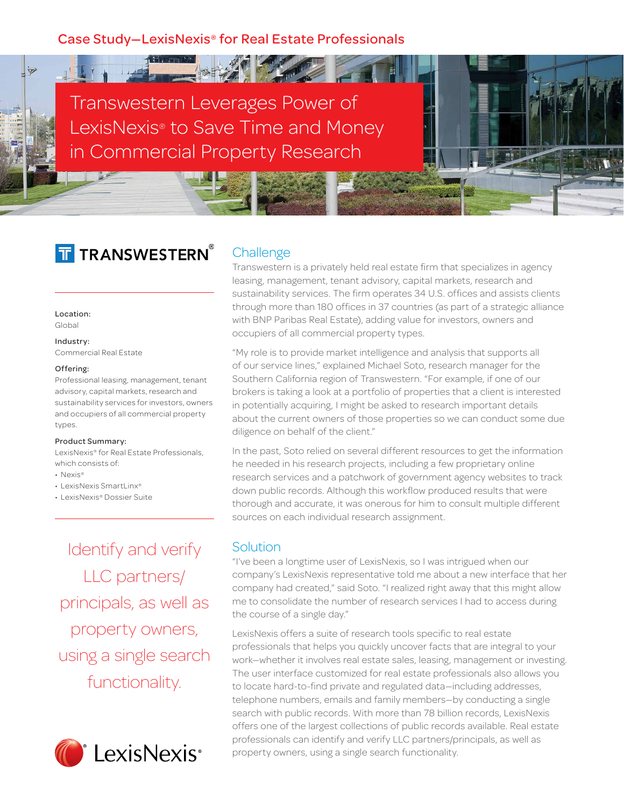## Case Study—LexisNexis® for Real Estate Professionals

Transwestern Leverages Power of LexisNexis® to Save Time and Money in Commercial Property Research

# T TRANSWESTERN®

#### Location:

Global

 $\frac{1}{2}$ 

Industry: Commercial Real Estate

#### Offering:

Professional leasing, management, tenant advisory, capital markets, research and sustainability services for investors, owners and occupiers of all commercial property types.

#### Product Summary:

LexisNexis® for Real Estate Professionals, which consists of:

- Nexis®
- LexisNexis SmartLinx®
- LexisNexis® Dossier Suite

Identify and verify LLC partners/ principals, as well as property owners, using a single search functionality.



## **Challenge**

Transwestern is a privately held real estate firm that specializes in agency leasing, management, tenant advisory, capital markets, research and sustainability services. The firm operates 34 U.S. offices and assists clients through more than 180 offices in 37 countries (as part of a strategic alliance with BNP Paribas Real Estate), adding value for investors, owners and occupiers of all commercial property types.

"My role is to provide market intelligence and analysis that supports all of our service lines," explained Michael Soto, research manager for the Southern California region of Transwestern. "For example, if one of our brokers is taking a look at a portfolio of properties that a client is interested in potentially acquiring, I might be asked to research important details about the current owners of those properties so we can conduct some due diligence on behalf of the client."

In the past, Soto relied on several different resources to get the information he needed in his research projects, including a few proprietary online research services and a patchwork of government agency websites to track down public records. Although this workflow produced results that were thorough and accurate, it was onerous for him to consult multiple different sources on each individual research assignment.

## Solution

"I've been a longtime user of LexisNexis, so I was intrigued when our company's LexisNexis representative told me about a new interface that her company had created," said Soto. "I realized right away that this might allow me to consolidate the number of research services I had to access during the course of a single day."

LexisNexis offers a suite of research tools specific to real estate professionals that helps you quickly uncover facts that are integral to your work—whether it involves real estate sales, leasing, management or investing. The user interface customized for real estate professionals also allows you to locate hard-to-find private and regulated data—including addresses, telephone numbers, emails and family members—by conducting a single search with public records. With more than 78 billion records, LexisNexis offers one of the largest collections of public records available. Real estate professionals can identify and verify LLC partners/principals, as well as property owners, using a single search functionality.